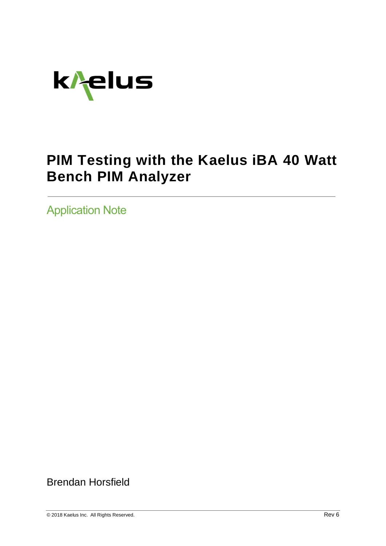

# **PIM Testing with the Kaelus iBA 40 Watt Bench PIM Analyzer**

Application Note

Brendan Horsfield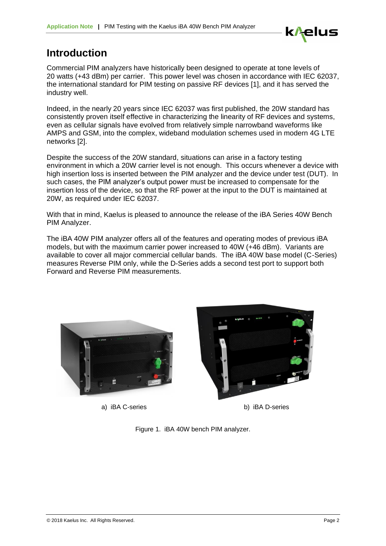

## **Introduction**

Commercial PIM analyzers have historically been designed to operate at tone levels of 20 watts (+43 dBm) per carrier. This power level was chosen in accordance with IEC 62037, the international standard for PIM testing on passive RF devices [1], and it has served the industry well.

Indeed, in the nearly 20 years since IEC 62037 was first published, the 20W standard has consistently proven itself effective in characterizing the linearity of RF devices and systems, even as cellular signals have evolved from relatively simple narrowband waveforms like AMPS and GSM, into the complex, wideband modulation schemes used in modern 4G LTE networks [2].

Despite the success of the 20W standard, situations can arise in a factory testing environment in which a 20W carrier level is not enough. This occurs whenever a device with high insertion loss is inserted between the PIM analyzer and the device under test (DUT). In such cases, the PIM analyzer's output power must be increased to compensate for the insertion loss of the device, so that the RF power at the input to the DUT is maintained at 20W, as required under IEC 62037.

With that in mind, Kaelus is pleased to announce the release of the iBA Series 40W Bench PIM Analyzer.

The iBA 40W PIM analyzer offers all of the features and operating modes of previous iBA models, but with the maximum carrier power increased to 40W (+46 dBm). Variants are available to cover all major commercial cellular bands. The iBA 40W base model (C-Series) measures Reverse PIM only, while the D-Series adds a second test port to support both Forward and Reverse PIM measurements.



a) iBA C-series b) iBA D-series



Figure 1. iBA 40W bench PIM analyzer.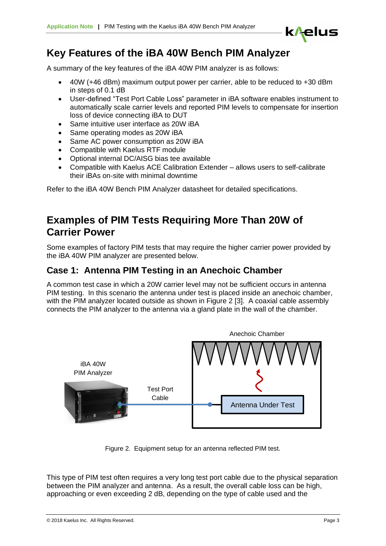

## **Key Features of the iBA 40W Bench PIM Analyzer**

A summary of the key features of the iBA 40W PIM analyzer is as follows:

- 40W (+46 dBm) maximum output power per carrier, able to be reduced to +30 dBm in steps of 0.1 dB
- User-defined "Test Port Cable Loss" parameter in iBA software enables instrument to automatically scale carrier levels and reported PIM levels to compensate for insertion loss of device connecting iBA to DUT
- Same intuitive user interface as 20W iBA
- Same operating modes as 20W iBA
- Same AC power consumption as 20W iBA
- Compatible with Kaelus RTF module
- Optional internal DC/AISG bias tee available
- Compatible with Kaelus ACE Calibration Extender allows users to self-calibrate their iBAs on-site with minimal downtime

Refer to the iBA 40W Bench PIM Analyzer datasheet for detailed specifications.

## **Examples of PIM Tests Requiring More Than 20W of Carrier Power**

Some examples of factory PIM tests that may require the higher carrier power provided by the iBA 40W PIM analyzer are presented below.

#### **Case 1: Antenna PIM Testing in an Anechoic Chamber**

A common test case in which a 20W carrier level may not be sufficient occurs in antenna PIM testing. In this scenario the antenna under test is placed inside an anechoic chamber, with the PIM analyzer located outside as shown in [Figure 2](#page-2-0) [3]. A coaxial cable assembly connects the PIM analyzer to the antenna via a gland plate in the wall of the chamber.



Figure 2. Equipment setup for an antenna reflected PIM test.

<span id="page-2-0"></span>This type of PIM test often requires a very long test port cable due to the physical separation between the PIM analyzer and antenna. As a result, the overall cable loss can be high, approaching or even exceeding 2 dB, depending on the type of cable used and the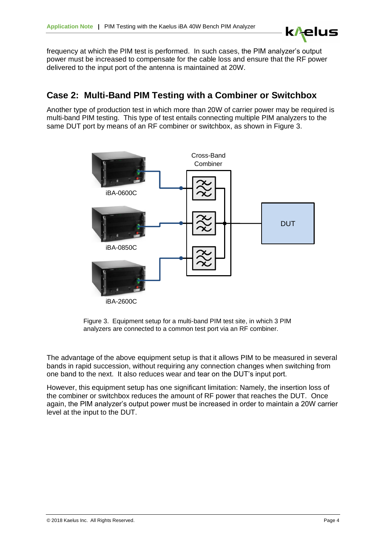

frequency at which the PIM test is performed. In such cases, the PIM analyzer's output power must be increased to compensate for the cable loss and ensure that the RF power delivered to the input port of the antenna is maintained at 20W.

### **Case 2: Multi-Band PIM Testing with a Combiner or Switchbox**

Another type of production test in which more than 20W of carrier power may be required is multi-band PIM testing. This type of test entails connecting multiple PIM analyzers to the same DUT port by means of an RF combiner or switchbox, as shown in [Figure 3.](#page-3-0)



Figure 3. Equipment setup for a multi-band PIM test site, in which 3 PIM analyzers are connected to a common test port via an RF combiner.

<span id="page-3-0"></span>The advantage of the above equipment setup is that it allows PIM to be measured in several bands in rapid succession, without requiring any connection changes when switching from one band to the next. It also reduces wear and tear on the DUT's input port.

However, this equipment setup has one significant limitation: Namely, the insertion loss of the combiner or switchbox reduces the amount of RF power that reaches the DUT. Once again, the PIM analyzer's output power must be increased in order to maintain a 20W carrier level at the input to the DUT.